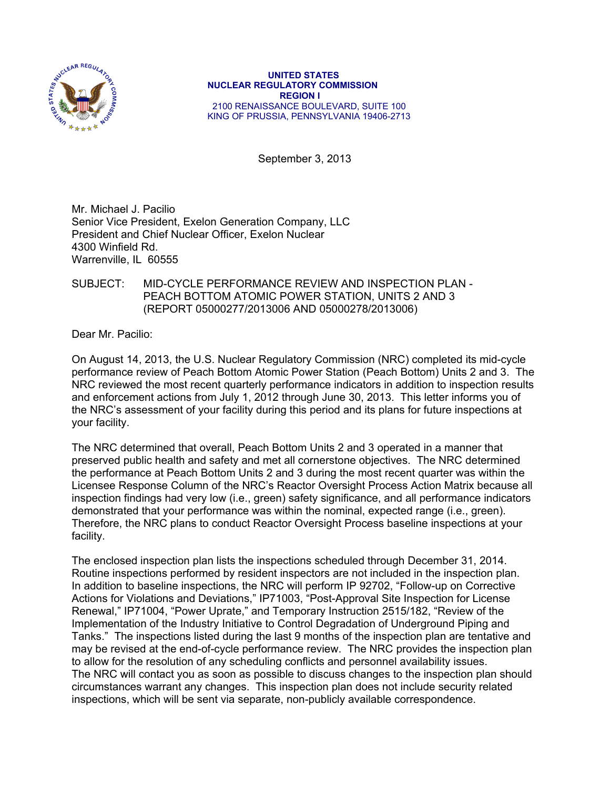

 **UNITED STATES NUCLEAR REGULATORY COMMISSION REGION I**  2100 RENAISSANCE BOULEVARD, SUITE 100 KING OF PRUSSIA, PENNSYLVANIA 19406-2713

September 3, 2013

Mr. Michael J. Pacilio Senior Vice President, Exelon Generation Company, LLC President and Chief Nuclear Officer, Exelon Nuclear 4300 Winfield Rd. Warrenville, IL 60555

## SUBJECT: MID-CYCLE PERFORMANCE REVIEW AND INSPECTION PLAN - PEACH BOTTOM ATOMIC POWER STATION, UNITS 2 AND 3 (REPORT 05000277/2013006 AND 05000278/2013006)

Dear Mr. Pacilio:

On August 14, 2013, the U.S. Nuclear Regulatory Commission (NRC) completed its mid-cycle performance review of Peach Bottom Atomic Power Station (Peach Bottom) Units 2 and 3. The NRC reviewed the most recent quarterly performance indicators in addition to inspection results and enforcement actions from July 1, 2012 through June 30, 2013. This letter informs you of the NRC's assessment of your facility during this period and its plans for future inspections at your facility.

The NRC determined that overall, Peach Bottom Units 2 and 3 operated in a manner that preserved public health and safety and met all cornerstone objectives. The NRC determined the performance at Peach Bottom Units 2 and 3 during the most recent quarter was within the Licensee Response Column of the NRC's Reactor Oversight Process Action Matrix because all inspection findings had very low (i.e., green) safety significance, and all performance indicators demonstrated that your performance was within the nominal, expected range (i.e., green). Therefore, the NRC plans to conduct Reactor Oversight Process baseline inspections at your facility.

The enclosed inspection plan lists the inspections scheduled through December 31, 2014. Routine inspections performed by resident inspectors are not included in the inspection plan. In addition to baseline inspections, the NRC will perform IP 92702, "Follow-up on Corrective Actions for Violations and Deviations," IP71003, "Post-Approval Site Inspection for License Renewal," IP71004, "Power Uprate," and Temporary Instruction 2515/182, "Review of the Implementation of the Industry Initiative to Control Degradation of Underground Piping and Tanks." The inspections listed during the last 9 months of the inspection plan are tentative and may be revised at the end-of-cycle performance review. The NRC provides the inspection plan to allow for the resolution of any scheduling conflicts and personnel availability issues. The NRC will contact you as soon as possible to discuss changes to the inspection plan should circumstances warrant any changes. This inspection plan does not include security related inspections, which will be sent via separate, non-publicly available correspondence.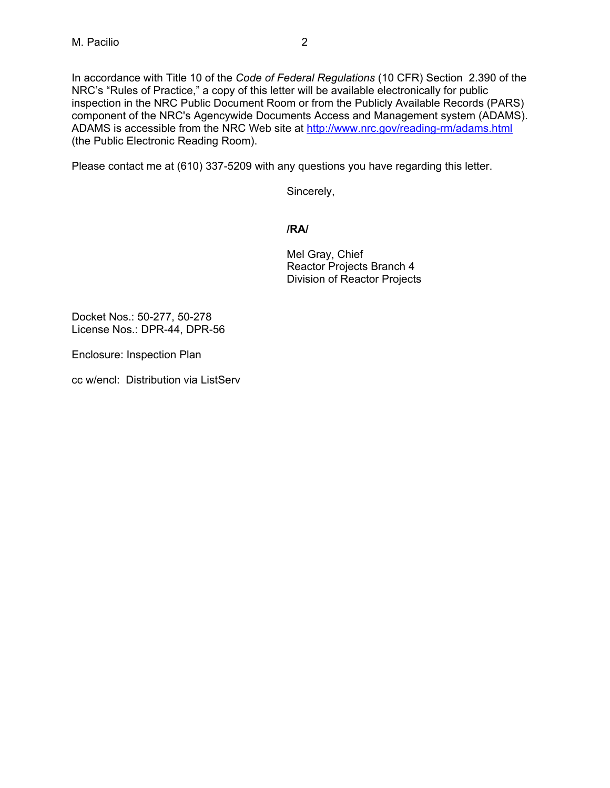In accordance with Title 10 of the *Code of Federal Regulations* (10 CFR) Section 2.390 of the NRC's "Rules of Practice," a copy of this letter will be available electronically for public inspection in the NRC Public Document Room or from the Publicly Available Records (PARS) component of the NRC's Agencywide Documents Access and Management system (ADAMS). ADAMS is accessible from the NRC Web site at http://www.nrc.gov/reading-rm/adams.html (the Public Electronic Reading Room).

Please contact me at (610) 337-5209 with any questions you have regarding this letter.

Sincerely,

## **/RA/**

Mel Gray, Chief Reactor Projects Branch 4 Division of Reactor Projects

Docket Nos.: 50-277, 50-278 License Nos.: DPR-44, DPR-56

Enclosure: Inspection Plan

cc w/encl: Distribution via ListServ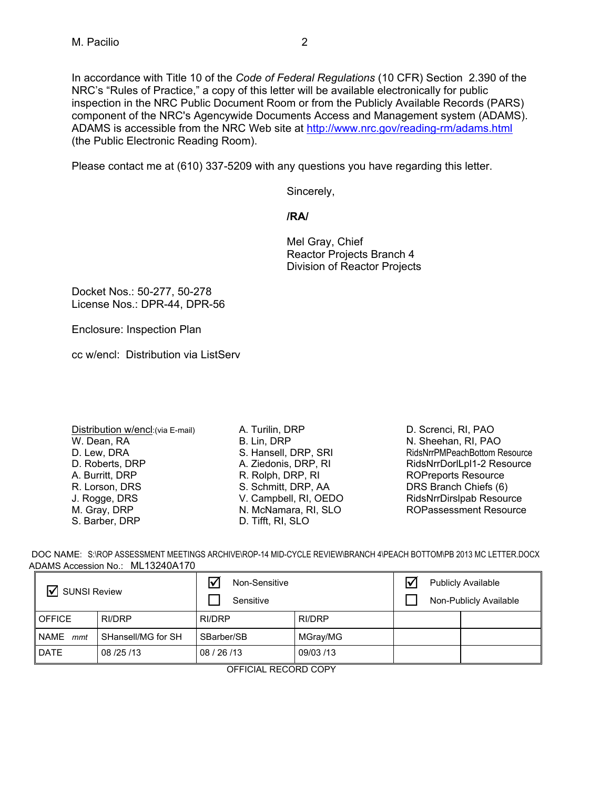In accordance with Title 10 of the *Code of Federal Regulations* (10 CFR) Section 2.390 of the NRC's "Rules of Practice," a copy of this letter will be available electronically for public inspection in the NRC Public Document Room or from the Publicly Available Records (PARS) component of the NRC's Agencywide Documents Access and Management system (ADAMS). ADAMS is accessible from the NRC Web site at http://www.nrc.gov/reading-rm/adams.html (the Public Electronic Reading Room).

Please contact me at (610) 337-5209 with any questions you have regarding this letter.

Sincerely,

**/RA/** 

Mel Gray, Chief Reactor Projects Branch 4 Division of Reactor Projects

Docket Nos.: 50-277, 50-278 License Nos.: DPR-44, DPR-56

Enclosure: Inspection Plan

cc w/encl: Distribution via ListServ

- Distribution w/encl:(via E-mail) W. Dean, RA D. Lew, DRA D. Roberts, DRP A. Burritt, DRP R. Lorson, DRS J. Rogge, DRS M. Gray, DRP S. Barber, DRP
- A. Turilin, DRP B. Lin, DRP S. Hansell, DRP, SRI A. Ziedonis, DRP, RI R. Rolph, DRP, RI S. Schmitt, DRP, AA V. Campbell, RI, OEDO N. McNamara, RI, SLO D. Tifft, RI, SLO

D. Screnci, RI, PAO N. Sheehan, RI, PAO RidsNrrPMPeachBottom Resource RidsNrrDorlLpl1-2 Resource ROPreports Resource DRS Branch Chiefs (6) RidsNrrDirslpab Resource ROPassessment Resource

| DOC NAME: S:\ROP ASSESSMENT MEETINGS ARCHIVE\ROP-14 MID-CYCLE REVIEW\BRANCH 4\PEACH BOTTOM\PB 2013 MC LETTER.DOCX |
|-------------------------------------------------------------------------------------------------------------------|
| ADAMS Accession No.: ML13240A170                                                                                  |

| <b>SUNSI Review</b>      |                    | $\triangledown$<br>Non-Sensitive<br>Sensitive |           |  |  | <b>Publicly Available</b><br>Non-Publicly Available |  |
|--------------------------|--------------------|-----------------------------------------------|-----------|--|--|-----------------------------------------------------|--|
| <b>OFFICE</b>            | <b>RI/DRP</b>      | RI/DRP                                        | RI/DRP    |  |  |                                                     |  |
| NAME<br>mmt              | SHansell/MG for SH | SBarber/SB                                    | MGray/MG  |  |  |                                                     |  |
| <b>DATE</b>              | 08/25/13           | 08 / 26 / 13                                  | 09/03 /13 |  |  |                                                     |  |
| $\bigcap$<br>DEOODD OODV |                    |                                               |           |  |  |                                                     |  |

OFFICIAL RECORD COPY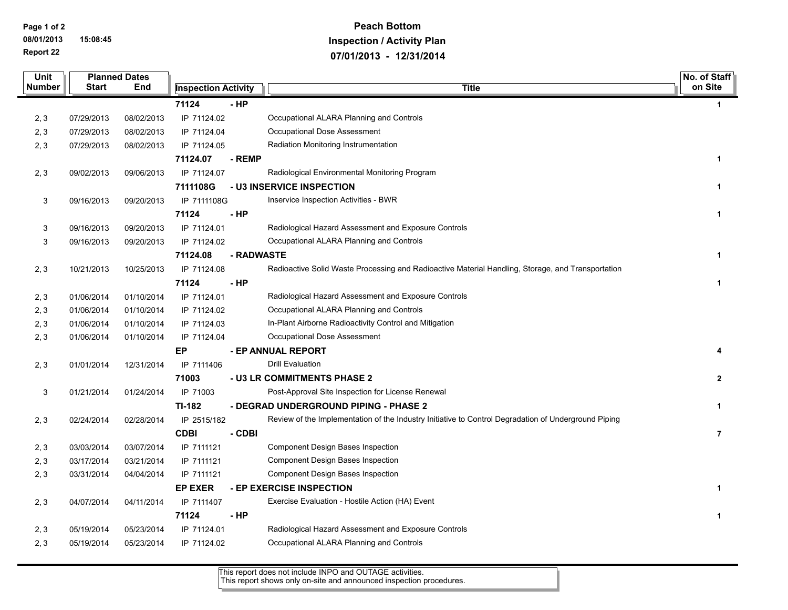**Page 1 of 2 08/01/2013 15:08:45 Report 22**

## **Peach Bottom Inspection / Activity Plan 07/01/2013 - 12/31/2014**

| Unit          |              | <b>Planned Dates</b> |                            |            |                                                                                                      |                |
|---------------|--------------|----------------------|----------------------------|------------|------------------------------------------------------------------------------------------------------|----------------|
| <b>Number</b> | <b>Start</b> | End                  | <b>Inspection Activity</b> |            | <b>Title</b>                                                                                         | on Site        |
|               |              |                      | 71124                      | - HP       |                                                                                                      | $\mathbf 1$    |
| 2, 3          | 07/29/2013   | 08/02/2013           | IP 71124.02                |            | Occupational ALARA Planning and Controls                                                             |                |
| 2, 3          | 07/29/2013   | 08/02/2013           | IP 71124.04                |            | Occupational Dose Assessment                                                                         |                |
| 2, 3          | 07/29/2013   | 08/02/2013           | IP 71124.05                |            | Radiation Monitoring Instrumentation                                                                 |                |
|               |              |                      | 71124.07                   | - REMP     |                                                                                                      | 1              |
| 2, 3          | 09/02/2013   | 09/06/2013           | IP 71124.07                |            | Radiological Environmental Monitoring Program                                                        |                |
|               |              |                      | 7111108G                   |            | - U3 INSERVICE INSPECTION                                                                            | $\mathbf{1}$   |
| 3             | 09/16/2013   | 09/20/2013           | IP 7111108G                |            | Inservice Inspection Activities - BWR                                                                |                |
|               |              |                      | 71124                      | $-HP$      |                                                                                                      | $\mathbf{1}$   |
| 3             | 09/16/2013   | 09/20/2013           | IP 71124.01                |            | Radiological Hazard Assessment and Exposure Controls                                                 |                |
| 3             | 09/16/2013   | 09/20/2013           | IP 71124.02                |            | Occupational ALARA Planning and Controls                                                             |                |
|               |              |                      | 71124.08                   | - RADWASTE |                                                                                                      | $\mathbf{1}$   |
| 2, 3          | 10/21/2013   | 10/25/2013           | IP 71124.08                |            | Radioactive Solid Waste Processing and Radioactive Material Handling, Storage, and Transportation    |                |
|               |              |                      | 71124                      | - HP       |                                                                                                      | $\mathbf{1}$   |
| 2, 3          | 01/06/2014   | 01/10/2014           | IP 71124.01                |            | Radiological Hazard Assessment and Exposure Controls                                                 |                |
| 2, 3          | 01/06/2014   | 01/10/2014           | IP 71124.02                |            | Occupational ALARA Planning and Controls                                                             |                |
| 2, 3          | 01/06/2014   | 01/10/2014           | IP 71124.03                |            | In-Plant Airborne Radioactivity Control and Mitigation                                               |                |
| 2, 3          | 01/06/2014   | 01/10/2014           | IP 71124.04                |            | Occupational Dose Assessment                                                                         |                |
|               |              |                      | ЕP                         |            | - EP ANNUAL REPORT                                                                                   | 4              |
| 2, 3          | 01/01/2014   | 12/31/2014           | IP 7111406                 |            | <b>Drill Evaluation</b>                                                                              |                |
|               |              |                      | 71003                      |            | - U3 LR COMMITMENTS PHASE 2                                                                          | $\mathbf{2}$   |
| 3             | 01/21/2014   | 01/24/2014           | IP 71003                   |            | Post-Approval Site Inspection for License Renewal                                                    |                |
|               |              |                      | TI-182                     |            | - DEGRAD UNDERGROUND PIPING - PHASE 2                                                                | $\mathbf{1}$   |
| 2, 3          | 02/24/2014   | 02/28/2014           | IP 2515/182                |            | Review of the Implementation of the Industry Initiative to Control Degradation of Underground Piping |                |
|               |              |                      | <b>CDBI</b>                | - CDBI     |                                                                                                      | $\overline{7}$ |
| 2, 3          | 03/03/2014   | 03/07/2014           | IP 7111121                 |            | Component Design Bases Inspection                                                                    |                |
| 2, 3          | 03/17/2014   | 03/21/2014           | IP 7111121                 |            | <b>Component Design Bases Inspection</b>                                                             |                |
| 2, 3          | 03/31/2014   | 04/04/2014           | IP 7111121                 |            | Component Design Bases Inspection                                                                    |                |
|               |              |                      | <b>EP EXER</b>             |            | - EP EXERCISE INSPECTION                                                                             | $\mathbf{1}$   |
| 2, 3          | 04/07/2014   | 04/11/2014           | IP 7111407                 |            | Exercise Evaluation - Hostile Action (HA) Event                                                      |                |
|               |              |                      | 71124                      | - HP       |                                                                                                      | $\mathbf{1}$   |
| 2, 3          | 05/19/2014   | 05/23/2014           | IP 71124.01                |            | Radiological Hazard Assessment and Exposure Controls                                                 |                |
| 2, 3          | 05/19/2014   | 05/23/2014           | IP 71124.02                |            | Occupational ALARA Planning and Controls                                                             |                |
|               |              |                      |                            |            |                                                                                                      |                |

This report does not include INPO and OUTAGE activities. This report shows only on-site and announced inspection procedures.